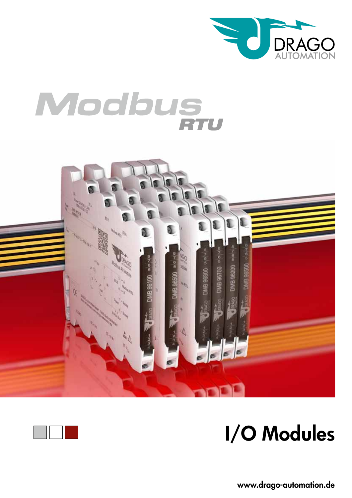

# Modbus





# I/O Modules

www.drago-automation.de www.drago-automation.de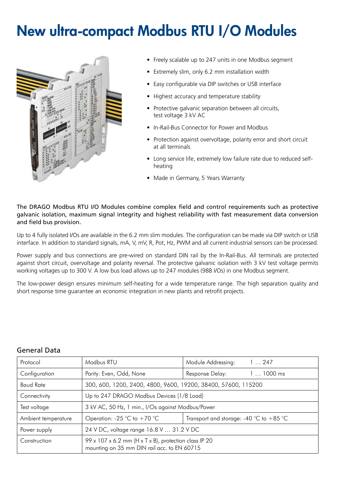# New ultra-compact Modbus RTU I/O Modules



- Freely scalable up to 247 units in one Modbus segment
- Extremely slim, only 6.2 mm installation width
- Easy configurable via DIP switches or USB interface
- Highest accuracy and temperature stability
- Protective galvanic separation between all circuits, test voltage 3 kV AC
- In-Rail-Bus Connector for Power and Modbus
- Protection against overvoltage, polarity error and short circuit at all terminals
- Long service life, extremely low failure rate due to reduced selfheating
- Made in Germany, 5 Years Warranty

The DRAGO Modbus RTU I/O Modules combine complex field and control requirements such as protective galvanic isolation, maximum signal integrity and highest reliability with fast measurement data conversion and field bus provision.

Up to 4 fully isolated I/Os are available in the 6.2 mm slim modules. The configuration can be made via DIP switch or USB interface. In addition to standard signals, mA, V, mV, R, Pot, Hz, PWM and all current industrial sensors can be processed.

Power supply and bus connections are pre-wired on standard DIN rail by the In-Rail-Bus. All terminals are protected against short circuit, overvoltage and polarity reversal. The protective galvanic isolation with 3 kV test voltage permits working voltages up to 300 V. A low bus load allows up to 247 modules (988 I/Os) in one Modbus segment.

The low-power design ensures minimum self-heating for a wide temperature range. The high separation quality and short response time quarantee an economic integration in new plants and retrofit projects.

| Protocol            | Modbus RTU                                                                                           | Module Addressing:                      | 1247       |
|---------------------|------------------------------------------------------------------------------------------------------|-----------------------------------------|------------|
| Configuration       | Parity: Even, Odd, None                                                                              | Response Delay:                         | $11000$ ms |
| <b>Baud Rate</b>    | 300, 600, 1200, 2400, 4800, 9600, 19200, 38400, 57600, 115200                                        |                                         |            |
| Connectivity        | Up to 247 DRAGO Modbus Devices (1/8 Load)                                                            |                                         |            |
| Test voltage        | 3 kV AC, 50 Hz, 1 min., I/Os against Modbus/Power                                                    |                                         |            |
| Ambient temperature | Operation: -25 °C to +70 °C                                                                          | Transport and storage: -40 °C to +85 °C |            |
| Power supply        | 24 V DC, voltage range 16.8 V  31.2 V DC                                                             |                                         |            |
| Construction        | 99 x 107 x 6.2 mm (H x T x B), protection class IP 20<br>mounting on 35 mm DIN rail acc. to EN 60715 |                                         |            |

# General Data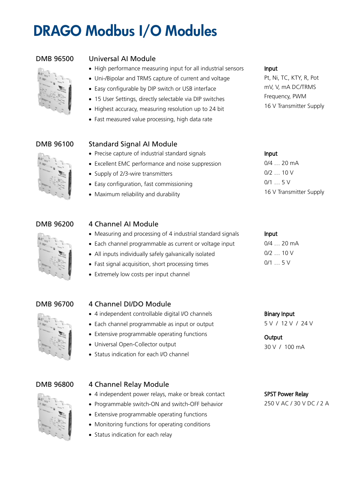# DRAGO Modbus I/O Modules

# DMB 96500 Universal AI Module

• High performance measuring input for all industrial sensors



- Easy configurable by DIP switch or USB interface
- 15 User Settings, directly selectable via DIP switches
- Highest accuracy, measuring resolution up to 24 bit
- Fast measured value processing, high data rate

# DMB 96100 Standard Signal AI Module

- Precise capture of industrial standard signals
- Excellent EMC performance and noise suppression
- Supply of 2/3-wire transmitters
- Easy configuration, fast commissioning
- Maximum reliability and durability

# DMB 96200 4 Channel AI Module

- Measuring and processing of 4 industrial standard signals
- Each channel programmable as current or voltage input
- All inputs individually safely galvanically isolated
- Fast signal acquisition, short processing times
- Extremely low costs per input channel

# DMB 96700 4 Channel DI/DO Module

- 4 independent controllable digital I/O channels
- Each channel programmable as input or output
- Extensive programmable operating functions
- Universal Open-Collector output
- Status indication for each I/O channel



# DMB 96800 4 Channel Relay Module

- 4 independent power relays, make or break contact
- Programmable switch-ON and switch-OFF behavior
- Extensive programmable operating functions
- Monitoring functions for operating conditions
- Status indication for each relay

### Input

Pt, Ni, TC, KTY, R, Pot mV, V, mA DC/TRMS Frequency, PWM 16 V Transmitter Supply

# Input

0/4 … 20 mA  $0/2$  ... 10 V  $0/1$  ... 5 V 16 V Transmitter Supply

### Input

0/4 … 20 mA  $0/2$  ... 10 V 0/1 … 5 V

Binary Input 5 V / 12 V / 24 V

## **Output** 30 V / 100 mA

SPST Power Relay 250 V AC / 30 V DC / 2 A